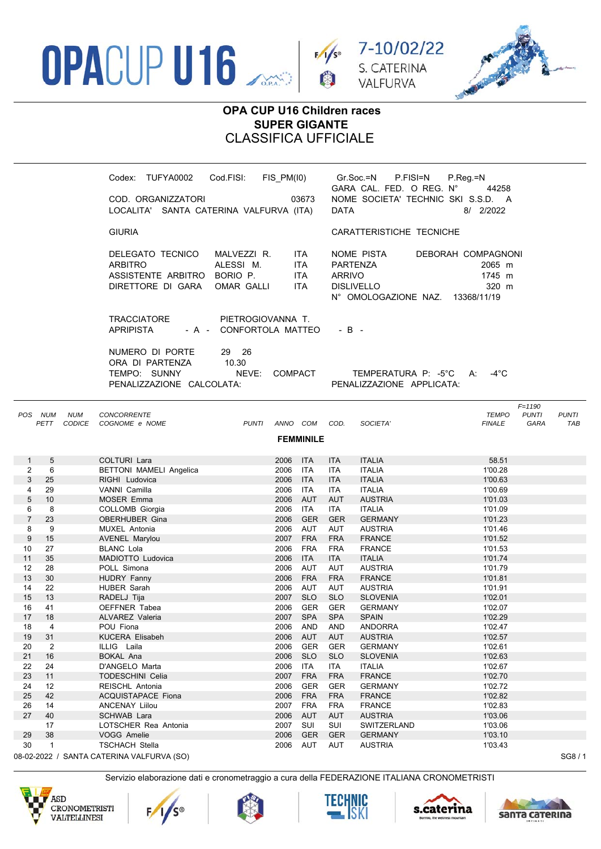





## OPA CUP U16 Children races **SUPER GIGANTE CLASSIFICA UFFICIALE**

| Cod.FISI:<br>TUFYA0002<br>Codex:                                                                                             | FIS PM(10)                                     | Gr.Soc.=N<br>GARA CAL. FED. O REG. N°                                                | $P_{R}$ eq =N<br>P.FISI=N<br>44258                             |
|------------------------------------------------------------------------------------------------------------------------------|------------------------------------------------|--------------------------------------------------------------------------------------|----------------------------------------------------------------|
| COD. ORGANIZZATORI<br>LOCALITA' SANTA CATERINA VALFURVA (ITA)                                                                | 03673                                          | <b>DATA</b>                                                                          | NOME SOCIETA' TECHNIC SKI S.S.D. A<br>8/ 2/2022                |
| <b>GIURIA</b>                                                                                                                |                                                | CARATTERISTICHE TECNICHE                                                             |                                                                |
| DELEGATO TECNICO<br>MALVEZZI R.<br>ALESSI M.<br>ARBITRO<br>ASSISTENTE ARBITRO<br>BORIO P.<br>DIRETTORE DI GARA<br>OMAR GALLI | ITA.<br><b>ITA</b><br><b>ITA</b><br><b>ITA</b> | NOME PISTA<br>PARTENZA<br><b>ARRIVO</b><br><b>DISLIVELLO</b><br>N° OMOLOGAZIONE NAZ. | DEBORAH COMPAGNONI<br>2065 m<br>1745 m<br>320 m<br>13368/11/19 |
| <b>TRACCIATORE</b><br>PIETROGIOVANNA T.<br>- A - CONFORTOLA MATTEO<br><b>APRIPISTA</b>                                       |                                                | $-B -$                                                                               |                                                                |
| NUMERO DI PORTE<br>29 26<br>ORA DI PARTENZA<br>10.30<br>TEMPO: SUNNY<br>NEVE:<br>PENALIZZAZIONE CALCOLATA:                   | <b>COMPACT</b>                                 | PENALIZZAZIONE APPLICATA:                                                            | -4°C<br>TEMPERATURA P: -5°C<br>A:                              |

| POS            | <b>NUM</b><br>PETT | <b>NUM</b><br><b>CODICE</b> | CONCORRENTE<br>COGNOME e NOME             | <b>PUNTI</b> | ANNO COM |                  | COD.       | SOCIETA'        | <b>TEMPO</b><br><b>FINALE</b> | $F = 1190$<br><b>PUNTI</b><br><b>GARA</b> | <b>PUNTI</b><br><b>TAB</b> |
|----------------|--------------------|-----------------------------|-------------------------------------------|--------------|----------|------------------|------------|-----------------|-------------------------------|-------------------------------------------|----------------------------|
|                |                    |                             |                                           |              |          | <b>FEMMINILE</b> |            |                 |                               |                                           |                            |
| 1              | 5                  |                             | <b>COLTURI Lara</b>                       |              | 2006     | <b>ITA</b>       | <b>ITA</b> | <b>ITALIA</b>   | 58.51                         |                                           |                            |
| $\overline{2}$ | 6                  |                             | <b>BETTONI MAMELI Angelica</b>            |              | 2006     | <b>ITA</b>       | <b>ITA</b> | <b>ITALIA</b>   | 1'00.28                       |                                           |                            |
| 3              | 25                 |                             | RIGHI Ludovica                            |              | 2006     | <b>ITA</b>       | <b>ITA</b> | <b>ITALIA</b>   | 1'00.63                       |                                           |                            |
| 4              | 29                 |                             | VANNI Camilla                             |              | 2006     | <b>ITA</b>       | <b>ITA</b> | <b>ITALIA</b>   | 1'00.69                       |                                           |                            |
| 5              | 10                 |                             | <b>MOSER Emma</b>                         |              | 2006     | <b>AUT</b>       | <b>AUT</b> | <b>AUSTRIA</b>  | 1'01.03                       |                                           |                            |
| 6              | 8                  |                             | COLLOMB Giorgia                           |              | 2006     | <b>ITA</b>       | <b>ITA</b> | <b>ITALIA</b>   | 1'01.09                       |                                           |                            |
| $\overline{7}$ | 23                 |                             | OBERHUBER Gina                            |              | 2006     | <b>GER</b>       | <b>GER</b> | <b>GERMANY</b>  | 1'01.23                       |                                           |                            |
| 8              | 9                  |                             | <b>MUXEL Antonia</b>                      |              | 2006     | <b>AUT</b>       | <b>AUT</b> | <b>AUSTRIA</b>  | 1'01.46                       |                                           |                            |
| 9              | 15                 |                             | <b>AVENEL Marylou</b>                     |              | 2007     | <b>FRA</b>       | <b>FRA</b> | <b>FRANCE</b>   | 1'01.52                       |                                           |                            |
| 10             | 27                 |                             | <b>BLANC Lola</b>                         |              | 2006     | <b>FRA</b>       | <b>FRA</b> | <b>FRANCE</b>   | 1'01.53                       |                                           |                            |
| 11             | 35                 |                             | MADIOTTO Ludovica                         |              | 2006     | <b>ITA</b>       | <b>ITA</b> | <b>ITALIA</b>   | 1'01.74                       |                                           |                            |
| 12             | 28                 |                             | POLL Simona                               |              | 2006     | <b>AUT</b>       | <b>AUT</b> | <b>AUSTRIA</b>  | 1'01.79                       |                                           |                            |
| 13             | 30                 |                             | <b>HUDRY Fanny</b>                        |              | 2006     | <b>FRA</b>       | <b>FRA</b> | <b>FRANCE</b>   | 1'01.81                       |                                           |                            |
| 14             | 22                 |                             | HUBER Sarah                               |              | 2006     | <b>AUT</b>       | <b>AUT</b> | <b>AUSTRIA</b>  | 1'01.91                       |                                           |                            |
| 15             | 13                 |                             | RADELJ Tija                               |              | 2007     | <b>SLO</b>       | <b>SLO</b> | <b>SLOVENIA</b> | 1'02.01                       |                                           |                            |
| 16             | 41                 |                             | <b>OEFFNER Tabea</b>                      |              | 2006     | <b>GER</b>       | <b>GER</b> | <b>GERMANY</b>  | 1'02.07                       |                                           |                            |
| 17             | 18                 |                             | <b>ALVAREZ Valeria</b>                    |              | 2007     | <b>SPA</b>       | <b>SPA</b> | <b>SPAIN</b>    | 1'02.29                       |                                           |                            |
| 18             | $\overline{4}$     |                             | POU Fiona                                 |              | 2006     | <b>AND</b>       | <b>AND</b> | <b>ANDORRA</b>  | 1'02.47                       |                                           |                            |
| 19             | 31                 |                             | <b>KUCERA Elisabeh</b>                    |              | 2006     | <b>AUT</b>       | <b>AUT</b> | <b>AUSTRIA</b>  | 1'02.57                       |                                           |                            |
| 20             | 2                  |                             | ILLIG Laila                               |              | 2006     | <b>GER</b>       | <b>GER</b> | <b>GERMANY</b>  | 1'02.61                       |                                           |                            |
| 21             | 16                 |                             | <b>BOKAL Ana</b>                          |              | 2006     | <b>SLO</b>       | <b>SLO</b> | <b>SLOVENIA</b> | 1'02.63                       |                                           |                            |
| 22             | 24                 |                             | D'ANGELO Marta                            |              | 2006     | <b>ITA</b>       | <b>ITA</b> | <b>ITALIA</b>   | 1'02.67                       |                                           |                            |
| 23             | 11                 |                             | <b>TODESCHINI Celia</b>                   |              | 2007     | <b>FRA</b>       | <b>FRA</b> | <b>FRANCE</b>   | 1'02.70                       |                                           |                            |
| 24             | 12                 |                             | <b>REISCHL Antonia</b>                    |              | 2006     | <b>GER</b>       | <b>GER</b> | <b>GERMANY</b>  | 1'02.72                       |                                           |                            |
| 25             | 42                 |                             | <b>ACQUISTAPACE Fiona</b>                 |              | 2006     | <b>FRA</b>       | <b>FRA</b> | <b>FRANCE</b>   | 1'02.82                       |                                           |                            |
| 26             | 14                 |                             | <b>ANCENAY Liilou</b>                     |              | 2007     | <b>FRA</b>       | <b>FRA</b> | <b>FRANCE</b>   | 1'02.83                       |                                           |                            |
| 27             | 40                 |                             | <b>SCHWAB Lara</b>                        |              | 2006     | <b>AUT</b>       | <b>AUT</b> | <b>AUSTRIA</b>  | 1'03.06                       |                                           |                            |
|                | 17                 |                             | LOTSCHER Rea Antonia                      |              | 2007     | SUI              | SUI        | SWITZERLAND     | 1'03.06                       |                                           |                            |
| 29             | 38                 |                             | VOGG Amelie                               |              | 2006     | <b>GER</b>       | <b>GER</b> | <b>GERMANY</b>  | 1'03.10                       |                                           |                            |
| 30             | $\mathbf{1}$       |                             | <b>TSCHACH Stella</b>                     |              | 2006     | <b>AUT</b>       | <b>AUT</b> | <b>AUSTRIA</b>  | 1'03.43                       |                                           |                            |
|                |                    |                             | 08-02-2022 / SANTA CATERINA VALFURVA (SO) |              |          |                  |            |                 |                               |                                           | SG8/1                      |











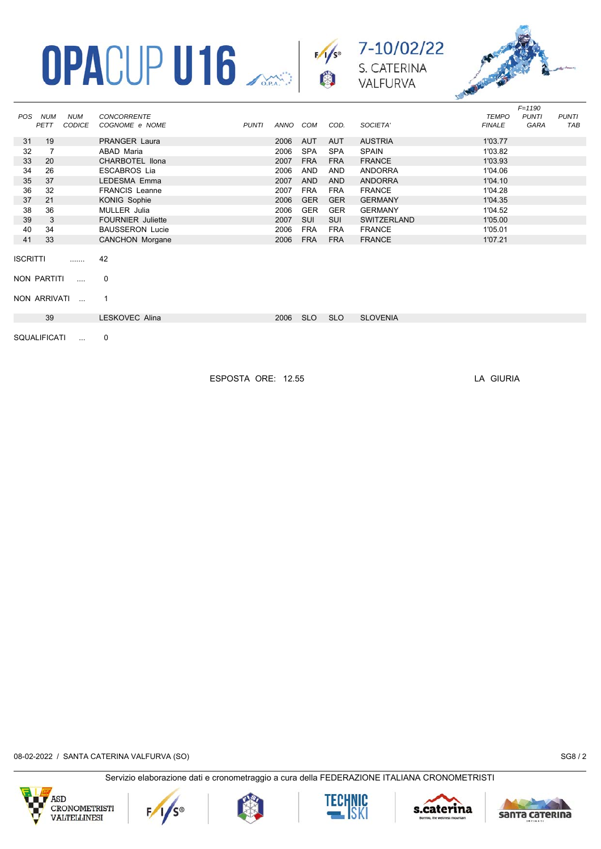





*F=1190*

|                 |              |               |                          |       |          |            |            |                    |               | $F = 1190$   |              |
|-----------------|--------------|---------------|--------------------------|-------|----------|------------|------------|--------------------|---------------|--------------|--------------|
| POS             | NUM          | <b>NUM</b>    | <b>CONCORRENTE</b>       |       |          |            |            |                    | <b>TEMPO</b>  | <b>PUNTI</b> | <b>PUNTI</b> |
|                 | PETT         | <b>CODICE</b> | COGNOME e NOME           | PUNTI | ANNO COM |            | COD.       | SOCIETA'           | <b>FINALE</b> | GARA         | TAB          |
| 31              | 19           |               | <b>PRANGER Laura</b>     |       | 2006     | AUT        | AUT        | <b>AUSTRIA</b>     | 1'03.77       |              |              |
| 32              | 7            |               | ABAD Maria               |       | 2006     | <b>SPA</b> | <b>SPA</b> | <b>SPAIN</b>       | 1'03.82       |              |              |
| 33              | 20           |               | CHARBOTEL IIona          |       | 2007     | <b>FRA</b> | <b>FRA</b> | <b>FRANCE</b>      | 1'03.93       |              |              |
| 34              | 26           |               | <b>ESCABROS Lia</b>      |       | 2006     | AND        | AND        | ANDORRA            | 1'04.06       |              |              |
| 35              | 37           |               | LEDESMA Emma             |       | 2007     | <b>AND</b> | <b>AND</b> | <b>ANDORRA</b>     | 1'04.10       |              |              |
| 36              | 32           |               | <b>FRANCIS Leanne</b>    |       | 2007     | <b>FRA</b> | <b>FRA</b> | <b>FRANCE</b>      | 1'04.28       |              |              |
| 37              | 21           |               | KONIG Sophie             |       | 2006     | <b>GER</b> | <b>GER</b> | <b>GERMANY</b>     | 1'04.35       |              |              |
| 38              | 36           |               | MULLER Julia             |       | 2006     | <b>GER</b> | <b>GER</b> | <b>GERMANY</b>     | 1'04.52       |              |              |
| 39              | 3            |               | <b>FOURNIER Juliette</b> |       | 2007     | SUI        | SUI        | <b>SWITZERLAND</b> | 1'05.00       |              |              |
| 40              | 34           |               | <b>BAUSSERON Lucie</b>   |       | 2006     | <b>FRA</b> | <b>FRA</b> | <b>FRANCE</b>      | 1'05.01       |              |              |
| 41              | 33           |               | <b>CANCHON Morgane</b>   |       | 2006     | <b>FRA</b> | <b>FRA</b> | <b>FRANCE</b>      | 1'07.21       |              |              |
| <b>ISCRITTI</b> |              | .             | 42                       |       |          |            |            |                    |               |              |              |
|                 | NON PARTITI  | $\mathbf{r}$  | 0                        |       |          |            |            |                    |               |              |              |
|                 |              | NON ARRIVATI  |                          |       |          |            |            |                    |               |              |              |
|                 | 39           |               | LESKOVEC Alina           |       | 2006     | <b>SLO</b> | <b>SLO</b> | <b>SLOVENIA</b>    |               |              |              |
|                 |              |               |                          |       |          |            |            |                    |               |              |              |
|                 | SOUALIFICATI |               | $\Omega$                 |       |          |            |            |                    |               |              |              |

ESPOSTA ORE: 12.55 LA GIURIA

08-02-2022 / SANTA CATERINA VALFURVA (SO) SG8 / 2











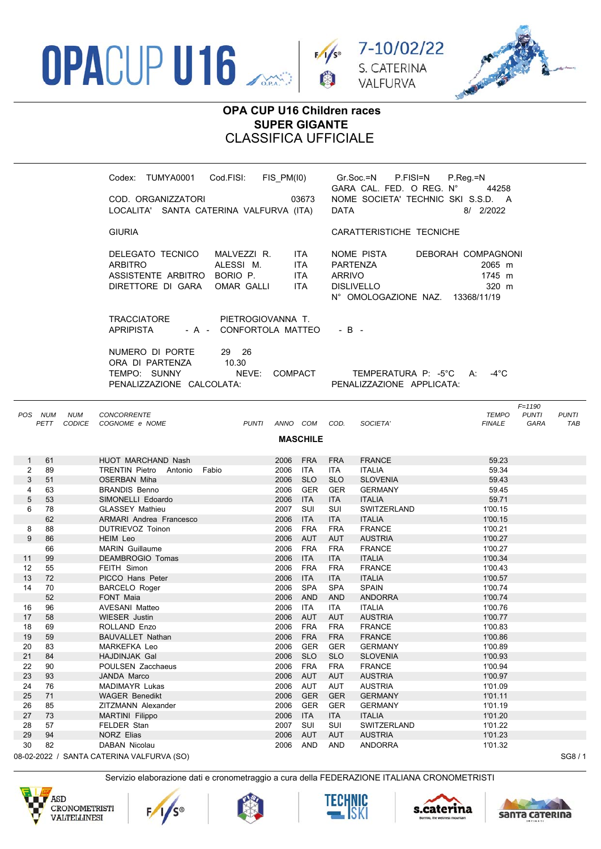





*F=1190*

## **OPA CUP U16 Children races SUPER GIGANTE** CLASSIFICA UFFICIALE

| TUMYA0001<br>Codex:<br>COD. ORGANIZZATORI<br>LOCALITA' SANTA CATERINA VALFURVA (ITA) | Cod.FISI:                                    | 03673                                     | FIS PM(I0) Gr.Soc.=N P.FISI=N<br>GARA CAL. FED. O REG. N°<br>NOME SOCIETA' TECHNIC SKI S.S.D. A<br>DATA | P.Reg.=N               | 44258<br>8/ 2/2022                       |
|--------------------------------------------------------------------------------------|----------------------------------------------|-------------------------------------------|---------------------------------------------------------------------------------------------------------|------------------------|------------------------------------------|
| <b>GIURIA</b>                                                                        |                                              |                                           | CARATTERISTICHE TECNICHE                                                                                |                        |                                          |
| DELEGATO TECNICO<br>ARBITRO<br>ASSISTENTE ARBITRO BORIO P.<br>DIRETTORE DI GARA      | MALVEZZI R.<br>ALESSI M.<br>OMAR GALLI       | ITA I<br>ITA.<br><b>ITA</b><br><b>ITA</b> | NOME PISTA<br>PARTENZA<br>ARRIVO<br>DISLIVELLO<br>N° OMOLOGAZIONE NAZ.                                  | DEBORAH COMPAGNONI     | 2065 m<br>1745 m<br>320 m<br>13368/11/19 |
| TRACCIATORE<br>APRIPISTA                                                             | PIETROGIOVANNA T.<br>- A - CONFORTOLA MATTEO |                                           | $-B -$                                                                                                  |                        |                                          |
| NUMERO DI PORTE<br>ORA DI PARTENZA<br>TEMPO: SUNNY<br>PENALIZZAZIONE CALCOLATA:      | 29 26<br>10.30<br>NEVE:                      | <b>COMPACT</b>                            | PENALIZZAZIONE APPLICATA:                                                                               | TEMPERATURA P: -5°C A: | -4°C                                     |

|                 | POS NUM<br>PETT | <b>NUM</b><br>CODICE | <b>CONCORRENTE</b><br>COGNOME e NOME      | <b>PUNTI</b> | ANNO COM |            | COD.       | SOCIETA'           | <b>TEMPO</b><br><b>FINALE</b> | <b>PUNTI</b><br>GARA | <b>PUNTI</b><br><b>TAB</b> |
|-----------------|-----------------|----------------------|-------------------------------------------|--------------|----------|------------|------------|--------------------|-------------------------------|----------------------|----------------------------|
|                 |                 |                      |                                           |              |          |            |            |                    |                               |                      |                            |
| <b>MASCHILE</b> |                 |                      |                                           |              |          |            |            |                    |                               |                      |                            |
|                 |                 |                      |                                           |              |          |            |            |                    |                               |                      |                            |
| $\mathbf{1}$    | 61              |                      | HUOT MARCHAND Nash                        |              | 2006 FRA |            | <b>FRA</b> | <b>FRANCE</b>      | 59.23                         |                      |                            |
| 2               | 89              |                      | TRENTIN Pietro Antonio<br>Fabio           |              | 2006     | <b>ITA</b> | <b>ITA</b> | <b>ITALIA</b>      | 59.34                         |                      |                            |
| 3               | 51              |                      | <b>OSERBAN Miha</b>                       |              | 2006     | <b>SLO</b> | <b>SLO</b> | <b>SLOVENIA</b>    | 59.43                         |                      |                            |
| 4               | 63              |                      | <b>BRANDIS Benno</b>                      |              | 2006     | <b>GER</b> | <b>GER</b> | <b>GERMANY</b>     | 59.45                         |                      |                            |
| 5               | 53              |                      | SIMONELLI Edoardo                         |              | 2006     | <b>ITA</b> | <b>ITA</b> | <b>ITALIA</b>      | 59.71                         |                      |                            |
| 6               | 78              |                      | <b>GLASSEY Mathieu</b>                    |              | 2007     | SUI        | <b>SUI</b> | <b>SWITZERLAND</b> | 1'00.15                       |                      |                            |
|                 | 62              |                      | ARMARI Andrea Francesco                   |              | 2006     | <b>ITA</b> | <b>ITA</b> | <b>ITALIA</b>      | 1'00.15                       |                      |                            |
| 8               | 88              |                      | DUTRIEVOZ Toinon                          |              | 2006     | <b>FRA</b> | <b>FRA</b> | <b>FRANCE</b>      | 1'00.21                       |                      |                            |
| 9               | 86              |                      | HEIM Leo                                  |              | 2006     | <b>AUT</b> | <b>AUT</b> | <b>AUSTRIA</b>     | 1'00.27                       |                      |                            |
|                 | 66              |                      | <b>MARIN</b> Guillaume                    |              | 2006     | <b>FRA</b> | <b>FRA</b> | <b>FRANCE</b>      | 1'00.27                       |                      |                            |
| 11              | 99              |                      | <b>DEAMBROGIO Tomas</b>                   |              | 2006     | <b>ITA</b> | <b>ITA</b> | <b>ITALIA</b>      | 1'00.34                       |                      |                            |
| 12              | 55              |                      | FEITH Simon                               |              | 2006     | <b>FRA</b> | <b>FRA</b> | <b>FRANCE</b>      | 1'00.43                       |                      |                            |
| 13              | 72              |                      | PICCO Hans Peter                          |              | 2006     | <b>ITA</b> | <b>ITA</b> | <b>ITALIA</b>      | 1'00.57                       |                      |                            |
| 14              | 70              |                      | <b>BARCELO Roger</b>                      |              | 2006     | <b>SPA</b> | <b>SPA</b> | <b>SPAIN</b>       | 1'00.74                       |                      |                            |
|                 | 52              |                      | <b>FONT Maia</b>                          |              | 2006     | <b>AND</b> | <b>AND</b> | <b>ANDORRA</b>     | 1'00.74                       |                      |                            |
| 16              | 96              |                      | AVESANI Matteo                            |              | 2006     | <b>ITA</b> | <b>ITA</b> | <b>ITALIA</b>      | 1'00.76                       |                      |                            |
| 17              | 58              |                      | <b>WIESER Justin</b>                      |              | 2006     | <b>AUT</b> | <b>AUT</b> | <b>AUSTRIA</b>     | 1'00.77                       |                      |                            |
| 18              | 69              |                      | ROLLAND Enzo                              |              | 2006     | <b>FRA</b> | <b>FRA</b> | <b>FRANCE</b>      | 1'00.83                       |                      |                            |
| 19              | 59              |                      | <b>BAUVALLET Nathan</b>                   |              | 2006     | <b>FRA</b> | <b>FRA</b> | <b>FRANCE</b>      | 1'00.86                       |                      |                            |
| 20              | 83              |                      | <b>MARKEFKA Leo</b>                       |              | 2006     | <b>GER</b> | <b>GER</b> | <b>GERMANY</b>     | 1'00.89                       |                      |                            |
| 21              | 84              |                      | <b>HAJDINJAK Gal</b>                      |              | 2006     | <b>SLO</b> | <b>SLO</b> | <b>SLOVENIA</b>    | 1'00.93                       |                      |                            |
| 22              | 90              |                      | POULSEN Zacchaeus                         |              | 2006     | <b>FRA</b> | <b>FRA</b> | <b>FRANCE</b>      | 1'00.94                       |                      |                            |
| 23              | 93              |                      | JANDA Marco                               |              | 2006     | <b>AUT</b> | <b>AUT</b> | <b>AUSTRIA</b>     | 1'00.97                       |                      |                            |
| 24              | 76              |                      | <b>MADIMAYR Lukas</b>                     |              | 2006     | AUT        | AUT        | <b>AUSTRIA</b>     | 1'01.09                       |                      |                            |
| 25              | 71              |                      | <b>WAGER Benedikt</b>                     |              | 2006     | <b>GER</b> | <b>GER</b> | <b>GERMANY</b>     | 1'01.11                       |                      |                            |
| 26              | 85              |                      | ZITZMANN Alexander                        |              | 2006     | <b>GER</b> | <b>GER</b> | <b>GERMANY</b>     | 1'01.19                       |                      |                            |
| 27              | 73              |                      | <b>MARTINI Filippo</b>                    |              | 2006     | <b>ITA</b> | <b>ITA</b> | <b>ITALIA</b>      | 1'01.20                       |                      |                            |
| 28              | 57              |                      | FELDER Stan                               |              | 2007     | SUI        | SUI        | <b>SWITZERLAND</b> | 1'01.22                       |                      |                            |
| 29              | 94              |                      | <b>NORZ Elias</b>                         |              | 2006     | <b>AUT</b> | <b>AUT</b> | <b>AUSTRIA</b>     | 1'01.23                       |                      |                            |
| 30              | 82              |                      | DABAN Nicolau                             |              | 2006     | <b>AND</b> | AND        | <b>ANDORRA</b>     | 1'01.32                       |                      |                            |
|                 |                 |                      | 08-02-2022 / SANTA CATERINA VALFURVA (SO) |              |          |            |            |                    |                               |                      | SG8/1                      |